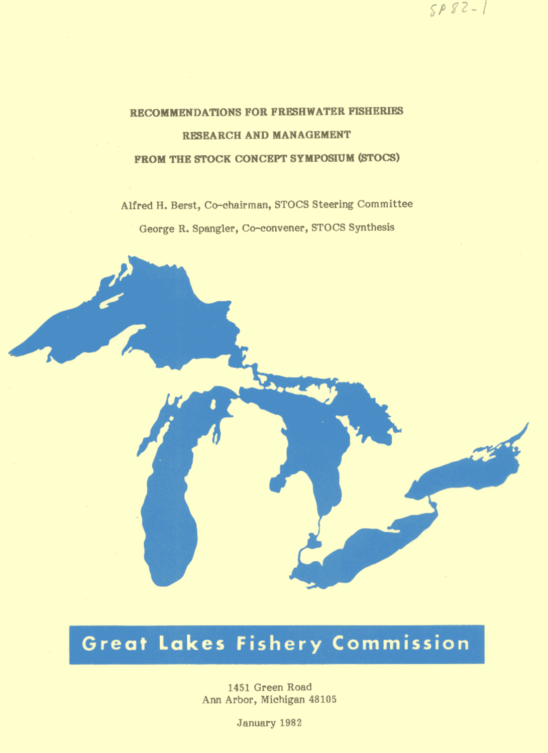## RECOMMENDATIONS FOR FRESHWATER FISHERIES RESEARCH AND MANAGEMENT FROM THE STOCK CONCEPT SYMPOSIUM (STOCS)

Alfred H. Berst, Co-chairman, STOCS Steering Committee George R. Spangler, Co-convener, STOCS Synthesis

## **Great Lakes Fishery Commission**

1451 Green Road Ann Arbor, Michigan 48105

January 1982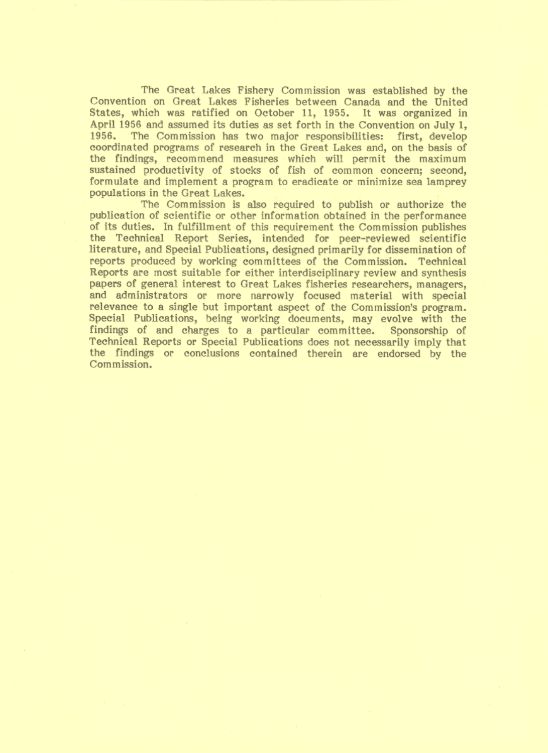The Great Lakes Fishery Commission was established by the Convention on Great Lakes Fisheries between Canada and the United States, which was ratified on October 11, 1955. It was organized in April 1956 and assumed its duties as set forth in the Convention on July 1, 1956. The Commission has two major responsibilities: first, develop coordinated programs of research in the Great Lakes and, on the basis of the findings, recommend measures which will permit the maximum sustained productivity of stocks of fish of common concern; second, formulate and implement a program to eradicate or minimize sea lamprey populations in the Great Lakes.

The Commission is also required to publish or authorize the publication of scientific or other information obtained in the performance of its duties. In fulfillment of this requirement the Commission publishes the Technical Report Series, intended for peer-reviewed scientific literature, and Special Publications, designed primarily for dissemination of reports produced by working committees of the Commission. Technical Reports are most suitable for either interdisciplinary review and synthesis papers of general interest to Great Lakes fisheries researchers, managers, and administrators or more narrowly focused material with special relevance to a single but important aspect of the Commission's program. Special Publications, being working documents, may evolve with the findings of and charges to a particular committee. Sponsorship of Technical Reports or Special Publications does not necessarily imply that the findings or conclusions contained therein are endorsed by the Commission.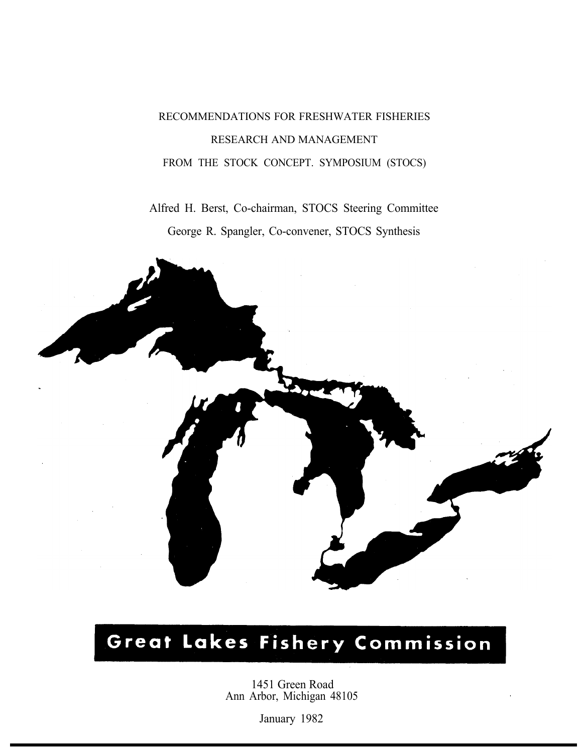## RECOMMENDATIONS FOR FRESHWATER FISHERIES RESEARCH AND MANAGEMENT FROM THE STOCK CONCEPT. SYMPOSIUM (STOCS)

Alfred H. Berst, Co-chairman, STOCS Steering Committee George R. Spangler, Co-convener, STOCS Synthesis



# Great Lakes Fishery Commission

1451 Green Road Ann Arbor, Michigan 48105

January 1982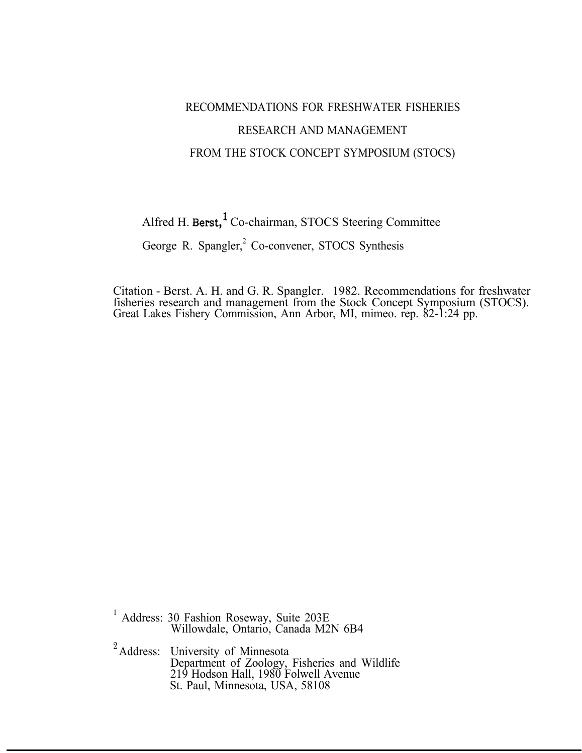## RECOMMENDATIONS FOR FRESHWATER FISHERIES RESEARCH AND MANAGEMENT FROM THE STOCK CONCEPT SYMPOSIUM (STOCS)

Alfred H. Berst,<sup>1</sup> Co-chairman, STOCS Steering Committee

George R. Spangler,<sup>2</sup> Co-convener, STOCS Synthesis

Citation - Berst. A. H. and G. R. Spangler. 1982. Recommendations for freshwater fisheries research and management from the Stock Concept Symposium (STOCS). Great Lakes Fishery Commission, Ann Arbor, MI, mimeo. rep. 82-1:24 pp.

<sup>1</sup> Address: 30 Fashion Roseway, Suite 203E Willowdale, Ontario, Canada M2N 6B4

<sup>2</sup> Address: University of Minnesota Department of Zoology, Fisheries and Wildlife 219 Hodson Hall, 1980 Folwell Avenue St. Paul, Minnesota, USA, 58108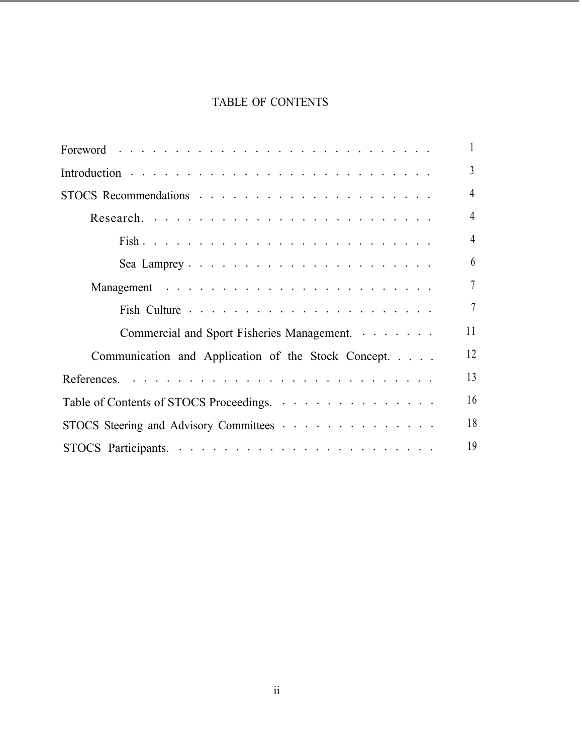#### TABLE OF CONTENTS

|                                                     | $\mathbf{1}$    |
|-----------------------------------------------------|-----------------|
|                                                     | $\overline{3}$  |
|                                                     | $\overline{4}$  |
|                                                     | $\overline{4}$  |
|                                                     | $\overline{4}$  |
|                                                     | 6               |
|                                                     | $\overline{7}$  |
|                                                     | $7\phantom{.0}$ |
| Commercial and Sport Fisheries Management.          | 11              |
| Communication and Application of the Stock Concept. | 12              |
|                                                     | 13              |
| Table of Contents of STOCS Proceedings.             | 16              |
| STOCS Steering and Advisory Committees              | 18              |
|                                                     | 19              |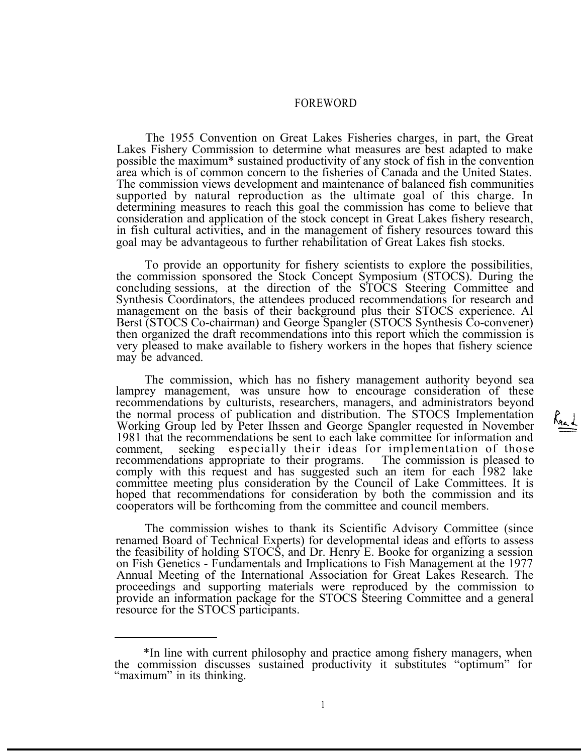#### FOREWORD

The 1955 Convention on Great Lakes Fisheries charges, in part, the Great Lakes Fishery Commission to determine what measures are best adapted to make possible the maximum\* sustained productivity of any stock of fish in the convention area which is of common concern to the fisheries of Canada and the United States. The commission views development and maintenance of balanced fish communities supported by natural reproduction as the ultimate goal of this charge. In determining measures to reach this goal the commission has come to believe that consideration and application of the stock concept in Great Lakes fishery research, in fish cultural activities, and in the management of fishery resources toward this goal may be advantageous to further rehabilitation of Great Lakes fish stocks.

To provide an opportunity for fishery scientists to explore the possibilities, the commission sponsored the Stock Concept Symposium (STOCS). During the concluding sessions, at the direction of the STOCS Steering Committee and Synthesis Coordinators, the attendees produced recommendations for research and management on the basis of their background plus their STOCS experience. Al Berst (STOCS Co-chairman) and George Spangler (STOCS Synthesis Co-convener) then organized the draft recommendations into this report which the commission is very pleased to make available to fishery workers in the hopes that fishery science may be advanced.

The commission, which has no fishery management authority beyond sea lamprey management, was unsure how to encourage consideration of these recommendations by culturists, researchers, managers, and administrators beyond the normal process of publication and distribution. The STOCS Implementation recommendations by culturists, researchers, managers, and administrators beyond<br>the normal process of publication and distribution. The STOCS Implementation<br>Working Group led by Peter Ihssen and George Spangler requested Working Group led by Peter Ihssen and George Spangler requested in November 1981 that the recommendations be sent to each lake committee for information and comment, seeking especially their ideas for implementation of those recommendations appropriate to their programs. The commission is pleased to comply with this request and has suggested such an item for each 1982 lake committee meeting plus consideration by the Council of Lake Committees. It is hoped that recommendations for consideration by both the commission and its cooperators will be forthcoming from the committee and council members.

The commission wishes to thank its Scientific Advisory Committee (since renamed Board of Technical Experts) for developmental ideas and efforts to assess the feasibility of holding STOCS, and Dr. Henry E. Booke for organizing a session on Fish Genetics - Fundamentals and Implications to Fish Management at the 1977 Annual Meeting of the International Association for Great Lakes Research. The proceedings and supporting materials were reproduced by the commission to provide an information package for the STOCS Steering Committee and a general resource for the STOCS participants.

<sup>\*</sup>In line with current philosophy and practice among fishery managers, when the commission discusses sustained productivity it substitutes "optimum" for "maximum" in its thinking.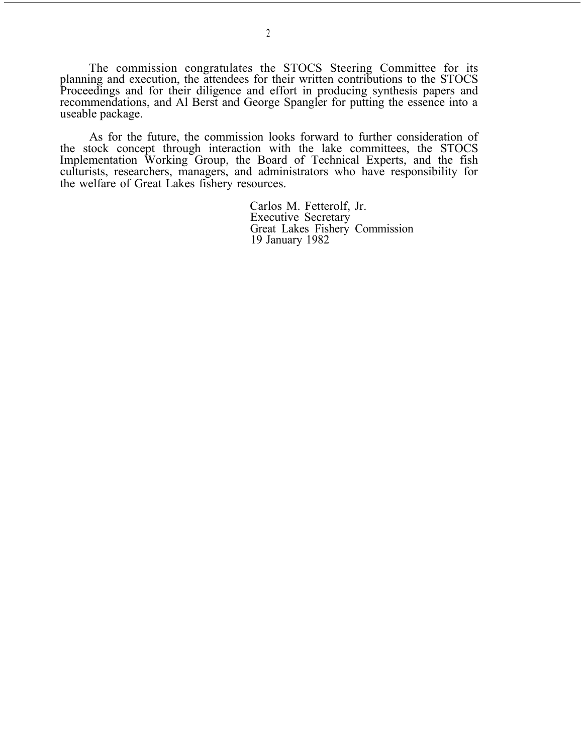The commission congratulates the STOCS Steering Committee for its planning and execution, the attendees for their written contributions to the STOCS Proceedings and for their diligence and effort in producing synthesis papers and recommendations, and Al Berst and George Spangler for putting the essence into a useable package.

As for the future, the commission looks forward to further consideration of the stock concept through interaction with the lake committees, the STOCS Implementation Working Group, the Board of Technical Experts, and the fish culturists, researchers, managers, and administrators who have responsibility for the welfare of Great Lakes fishery resources.

> Carlos M. Fetterolf, Jr. Executive Secretary Great Lakes Fishery Commission 19 January 1982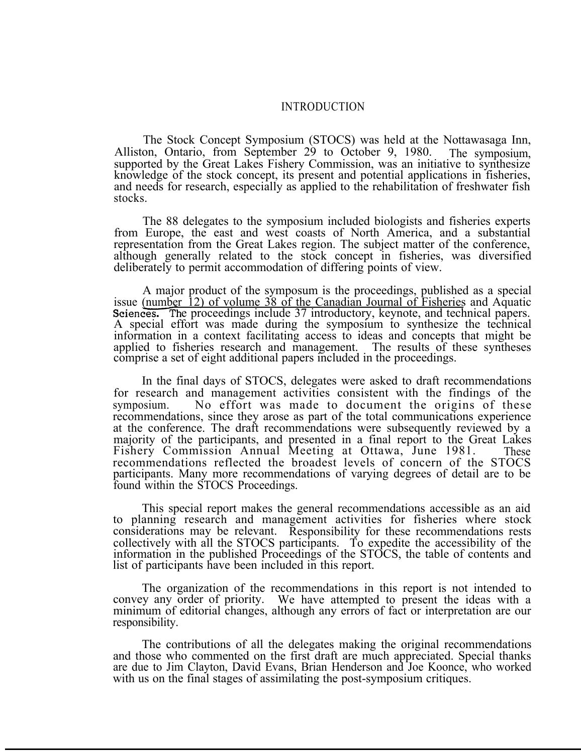#### INTRODUCTION

The Stock Concept Symposium (STOCS) was held at the Nottawasaga Inn, Alliston, Ontario, from September 29 to October 9, 1980. The symposium. supported by the Great Lakes Fishery Commission, was an initiative to synthesize knowledge of the stock concept, its present and potential applications in fisheries, and needs for research, especially as applied to the rehabilitation of freshwater fish stocks.

The 88 delegates to the symposium included biologists and fisheries experts from Europe, the east and west coasts of North America, and a substantial representation from the Great Lakes region. The subject matter of the conference, although generally related to the stock concept in fisheries, was diversified deliberately to permit accommodation of differing points of view.

A major product of the symposum is the proceedings, published as a special issue (number 12) of volume 38 of the Canadian Journal of Fisheries and Aquatic Sciences. The proceedings include 37 introductory, keynote, and technical papers. A special effort was made during the symposium to synthesize the technical information in a context facilitating access to ideas and concepts that might be applied to fisheries research and management. The results of these syntheses comprise a set of eight additional papers included in the proceedings.

In the final days of STOCS, delegates were asked to draft recommendations for research and management activities consistent with the findings of the symposium. No effort was made to document the origins of these recommendations, since they arose as part of the total communications experience at the conference. The draft recommendations were subsequently reviewed by a majority of the participants, and presented in a final report to the Great Lakes Fishery Commission Annual Meeting at Ottawa, June 1981. These recommendations reflected the broadest levels of concern of the STOCS participants. Many more recommendations of varying degrees of detail are to be found within the STOCS Proceedings.

This special report makes the general recommendations accessible as an aid to planning research and management activities for fisheries where stock considerations may be relevant. Responsibility for these recommendations rests collectively with all the STOCS participants. To expedite the accessibility of the information in the published Proceedings of the STOCS, the table of contents and list of participants have been included in this report.

The organization of the recommendations in this report is not intended to convey any order of priority. We have attempted to present the ideas with a minimum of editorial changes, although any errors of fact or interpretation are our responsibility.

The contributions of all the delegates making the original recommendations and those who commented on the first draft are much appreciated. Special thanks are due to Jim Clayton, David Evans, Brian Henderson and Joe Koonce, who worked with us on the final stages of assimilating the post-symposium critiques.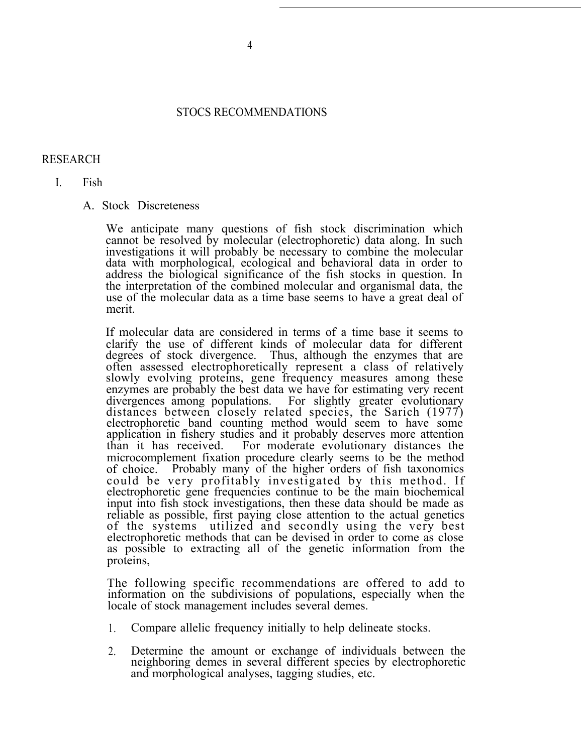#### STOCS RECOMMENDATIONS

#### RESEARCH

I. Fish

#### A. Stock Discreteness

We anticipate many questions of fish stock discrimination which cannot be resolved by molecular (electrophoretic) data along. In such investigations it will probably be necessary to combine the molecular data with morphological, ecological and behavioral data in order to address the biological significance of the fish stocks in question. In the interpretation of the combined molecular and organismal data, the use of the molecular data as a time base seems to have a great deal of merit.

If molecular data are considered in terms of a time base it seems to clarify the use of different kinds of molecular data for different degrees of stock divergence. Thus, although the enzymes that are often assessed electrophoretically represent a class of relatively slowly evolving proteins, gene frequency measures among these enzymes are probably the best data we have for estimating very recent divergences among populations. For slightly greater evolutionary distances between closely related species, the Sarich (1977) electrophoretic band counting method would seem to have some application in fishery studies and it probably deserves more attention than it has received. For moderate evolutionary distances the For moderate evolutionary distances the microcomplement fixation procedure clearly seems to be the method of choice. Probably many of the higher orders of fish taxonomics could be very profitably investigated by this method. If electrophoretic gene frequencies continue to be the main biochemical input into fish stock investigations, then these data should be made as reliable as possible, first paying close attention to the actual genetics of the systems utilized and secondly using the very best electrophoretic methods that can be devised in order to come as close as possible to extracting all of the genetic information from the proteins,

The following specific recommendations are offered to add to information on the subdivisions of populations, especially when the locale of stock management includes several demes.

- 1. Compare allelic frequency initially to help delineate stocks.
- 2. Determine the amount or exchange of individuals between the neighboring demes in several different species by electrophoretic and morphological analyses, tagging studies, etc.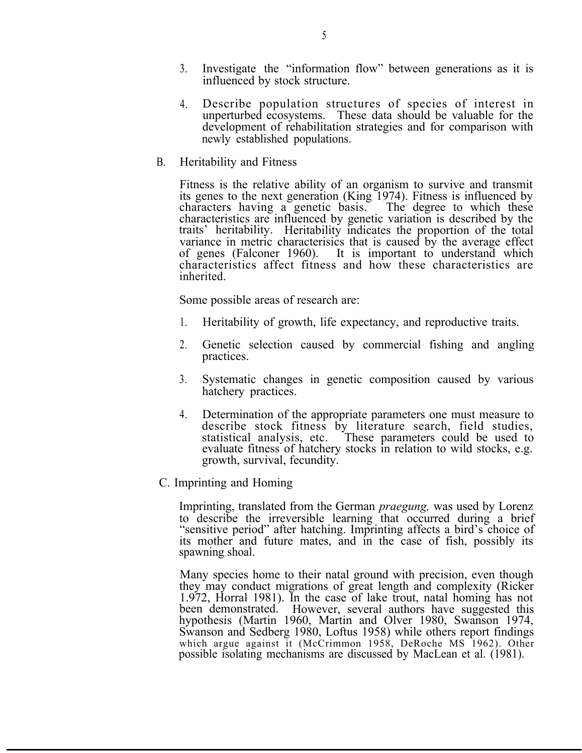- 3. Investigate the "information flow" between generations as it is influenced by stock structure.
- 4. Describe population structures of species of interest in unperturbed ecosystems. These data should be valuable for the development of rehabilitation strategies and for comparison with newly established populations.
- B. Heritability and Fitness

Fitness is the relative ability of an organism to survive and transmit its genes to the next generation (King 1974). Fitness is influenced by characters having a genetic basis. The degree to which these characteristics are influenced by genetic variation is described by the traits' heritability. Heritability indicates the proportion of the total variance in metric characterisics that is caused by the average effect of genes (Falconer 1960). It is important to understand which characteristics affect fitness and how these characteristics are inherited.

Some possible areas of research are:

- 1. Heritability of growth, life expectancy, and reproductive traits.
- 2. Genetic selection caused by commercial fishing and angling practices.
- 3. Systematic changes in genetic composition caused by various hatchery practices.
- 4. Determination of the appropriate parameters one must measure to describe stock fitness by literature search, field studies, statistical analysis, etc. These parameters could be used to evaluate fitness of hatchery stocks in relation to wild stocks, e.g. growth, survival, fecundity.
- C. Imprinting and Homing

Imprinting, translated from the German *praegung,* was used by Lorenz to describe the irreversible learning that occurred during a brief "sensitive period" after hatching. Imprinting affects a bird's choice of its mother and future mates, and in the case of fish, possibly its spawning shoal.

Many species home to their natal ground with precision, even though they may conduct migrations of great length and complexity (Ricker 1.972, Horral 1981). In the case of lake trout, natal homing has not been demonstrated. However, several authors have suggested this hypothesis (Martin 1960, Martin and Olver 1980, Swanson 1974, Swanson and Sedberg 1980, Loftus 1958) while others report findings which argue against it (McCrimmon 1958, DeRoche MS 1962). Other possible isolating mechanisms are discussed by MacLean et al. (1981).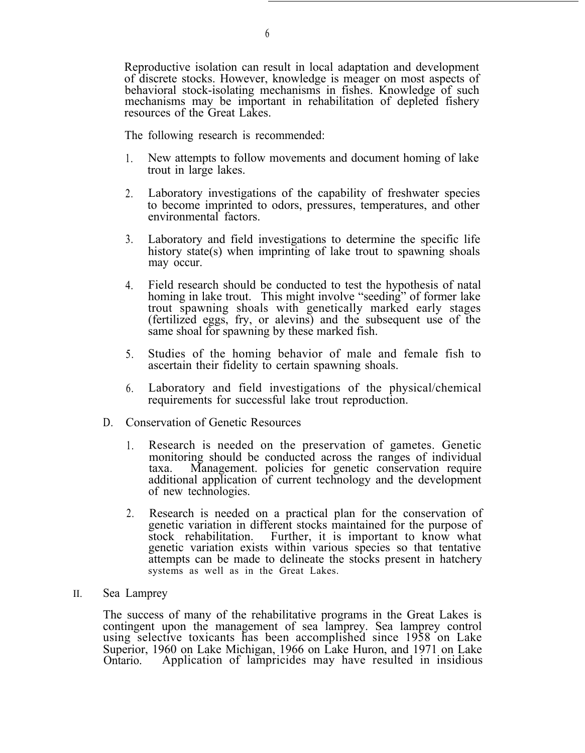Reproductive isolation can result in local adaptation and development of discrete stocks. However, knowledge is meager on most aspects of behavioral stock-isolating mechanisms in fishes. Knowledge of such mechanisms may be important in rehabilitation of depleted fishery resources of the Great Lakes.

The following research is recommended:

- 1. New attempts to follow movements and document homing of lake trout in large lakes.
- 2. Laboratory investigations of the capability of freshwater species to become imprinted to odors, pressures, temperatures, and other environmental factors.
- 3. Laboratory and field investigations to determine the specific life history state(s) when imprinting of lake trout to spawning shoals may occur.
- 4. Field research should be conducted to test the hypothesis of natal homing in lake trout. This might involve "seeding" of former lake trout spawning shoals with genetically marked early stages (fertilized eggs, fry, or alevins) and the subsequent use of the same shoal for spawning by these marked fish.
- 5. Studies of the homing behavior of male and female fish to ascertain their fidelity to certain spawning shoals.
- 6. Laboratory and field investigations of the physical/chemical requirements for successful lake trout reproduction.
- D. Conservation of Genetic Resources
	- 1. Research is needed on the preservation of gametes. Genetic monitoring should be conducted across the ranges of individual taxa. Management. policies for genetic conservation require additional application of current technology and the development of new technologies.
	- 2. Research is needed on a practical plan for the conservation of genetic variation in different stocks maintained for the purpose of stock rehabilitation. Further, it is important to know what Further, it is important to know what genetic variation exists within various species so that tentative attempts can be made to delineate the stocks present in hatchery systems as well as in the Great Lakes.
- II. Sea Lamprey

The success of many of the rehabilitative programs in the Great Lakes is contingent upon the management of sea lamprey. Sea lamprey control using selective toxicants has been accomplished since 1958 on Lake Superior, 1960 on Lake Michigan, 1966 on Lake Huron, and 1971 on Lake Ontario. Application of lampricides may have resulted in insidious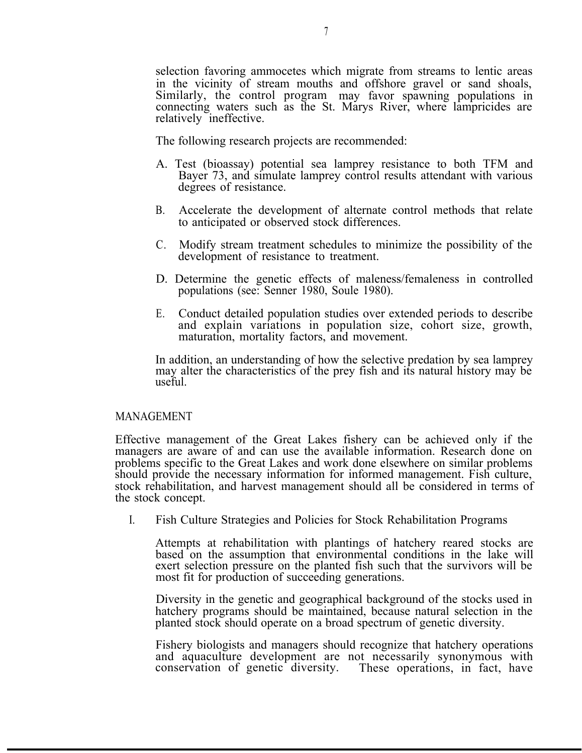selection favoring ammocetes which migrate from streams to lentic areas in the vicinity of stream mouths and offshore gravel or sand shoals, Similarly, the control program may favor spawning populations in connecting waters such as the St. Marys River, where lampricides are relatively ineffective.

The following research projects are recommended:

- A. Test (bioassay) potential sea lamprey resistance to both TFM and Bayer 73, and simulate lamprey control results attendant with various degrees of resistance.
- B. Accelerate the development of alternate control methods that relate to anticipated or observed stock differences.
- C. Modify stream treatment schedules to minimize the possibility of the development of resistance to treatment.
- D. Determine the genetic effects of maleness/femaleness in controlled populations (see: Senner 1980, Soule 1980).
- E. Conduct detailed population studies over extended periods to describe and explain variations in population size, cohort size, growth, maturation, mortality factors, and movement.

In addition, an understanding of how the selective predation by sea lamprey may alter the characteristics of the prey fish and its natural history may be useful.

#### MANAGEMENT

Effective management of the Great Lakes fishery can be achieved only if the managers are aware of and can use the available information. Research done on problems specific to the Great Lakes and work done elsewhere on similar problems should provide the necessary information for informed management. Fish culture, stock rehabilitation, and harvest management should all be considered in terms of the stock concept.

I. Fish Culture Strategies and Policies for Stock Rehabilitation Programs

Attempts at rehabilitation with plantings of hatchery reared stocks are based on the assumption that environmental conditions in the lake will exert selection pressure on the planted fish such that the survivors will be most fit for production of succeeding generations.

Diversity in the genetic and geographical background of the stocks used in hatchery programs should be maintained, because natural selection in the planted stock should operate on a broad spectrum of genetic diversity.

Fishery biologists and managers should recognize that hatchery operations and aquaculture development are not necessarily synonymous with conservation of genetic diversity. These operations, in fact, have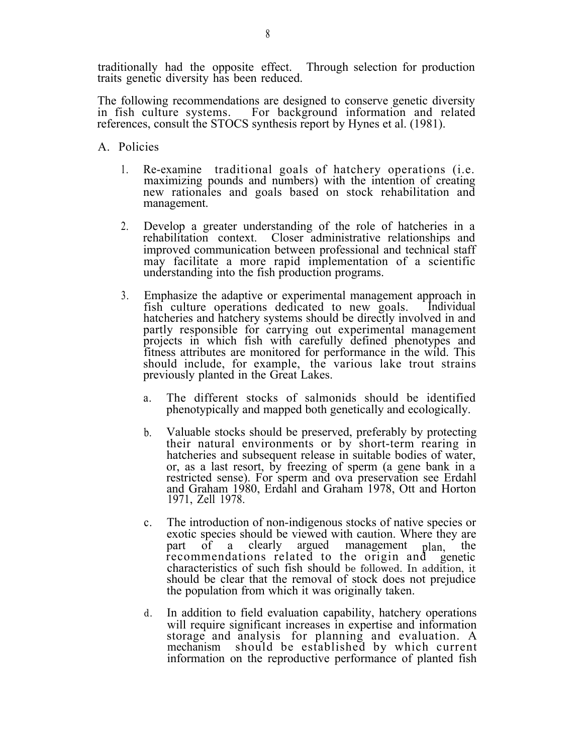traditionally had the opposite effect. Through selection for production traits genetic diversity has been reduced.

The following recommendations are designed to conserve genetic diversity in fish culture systems. For background information and related references, consult the STOCS synthesis report by Hynes et al. (1981).

- A. Policies
	- 1. Re-examine traditional goals of hatchery operations (i.e. maximizing pounds and numbers) with the intention of creating new rationales and goals based on stock rehabilitation and management.
	- 2. Develop a greater understanding of the role of hatcheries in a rehabilitation context. Closer administrative relationships and improved communication between professional and technical staff may facilitate a more rapid implementation of a scientific understanding into the fish production programs.
	- 3. Emphasize the adaptive or experimental management approach in fish culture operations dedicated to new goals. Individual hatcheries and hatchery systems should be directly involved in and partly responsible for carrying out experimental management projects in which fish with carefully defined phenotypes and fitness attributes are monitored for performance in the wild. This should include, for example, the various lake trout strains previously planted in the Great Lakes.
		- a. The different stocks of salmonids should be identified phenotypically and mapped both genetically and ecologically.
		- b. Valuable stocks should be preserved, preferably by protecting their natural environments or by short-term rearing in hatcheries and subsequent release in suitable bodies of water, or, as a last resort, by freezing of sperm (a gene bank in a restricted sense). For sperm and ova preservation see Erdahl and Graham 1980, Erdahl and Graham 1978, Ott and Horton 1971, Zell 1978.
		- c. The introduction of non-indigenous stocks of native species or exotic species should be viewed with caution. Where they are part of a clearly argued management <sub>plan</sub> the recommendations related to the origin and genetic characteristics of such fish should be followed. In addition, it should be clear that the removal of stock does not prejudice the population from which it was originally taken.
		- d. In addition to field evaluation capability, hatchery operations will require significant increases in expertise and information storage and analysis for planning and evaluation. A mechanism should be established by which current information on the reproductive performance of planted fish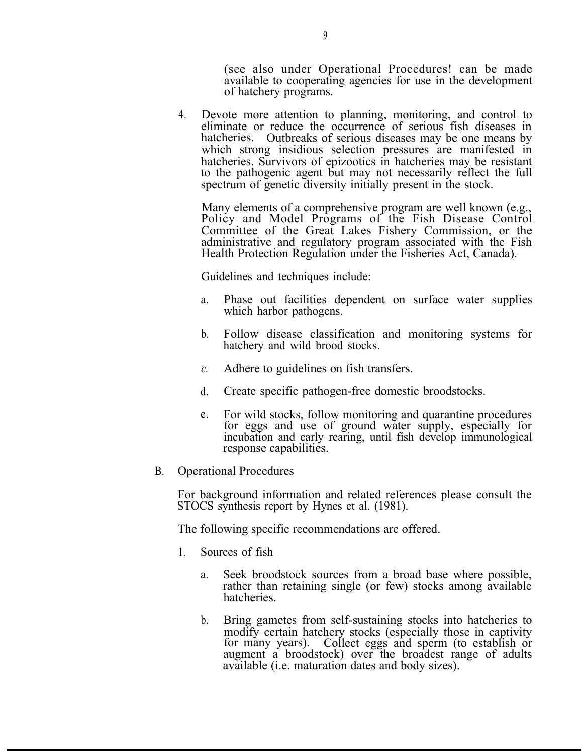(see also under Operational Procedures! can be made available to cooperating agencies for use in the development of hatchery programs.

4. Devote more attention to planning, monitoring, and control to eliminate or reduce the occurrence of serious fish diseases in hatcheries. Outbreaks of serious diseases may be one means by which strong insidious selection pressures are manifested in hatcheries. Survivors of epizootics in hatcheries may be resistant to the pathogenic agent but may not necessarily reflect the full spectrum of genetic diversity initially present in the stock.

Many elements of a comprehensive program are well known (e.g., Policy and Model Programs of the Fish Disease Control Committee of the Great Lakes Fishery Commission, or the administrative and regulatory program associated with the Fish Health Protection Regulation under the Fisheries Act, Canada).

Guidelines and techniques include:

- a. Phase out facilities dependent on surface water supplies which harbor pathogens.
- b. Follow disease classification and monitoring systems for hatchery and wild brood stocks.
- *c.* Adhere to guidelines on fish transfers.
- d. Create specific pathogen-free domestic broodstocks.
- e. For wild stocks, follow monitoring and quarantine procedures for eggs and use of ground water supply, especially for incubation and early rearing, until fish develop immunological response capabilities.
- B. Operational Procedures

For background information and related references please consult the STOCS synthesis report by Hynes et al. (1981).

The following specific recommendations are offered.

- 1. Sources of fish
	- a. Seek broodstock sources from a broad base where possible, rather than retaining single (or few) stocks among available hatcheries.
	- b. Bring gametes from self-sustaining stocks into hatcheries to modify certain hatchery stocks (especially those in captivity for many years). Collect eggs and sperm (to establish or augment a broodstock) over the broadest range of adults available (i.e. maturation dates and body sizes).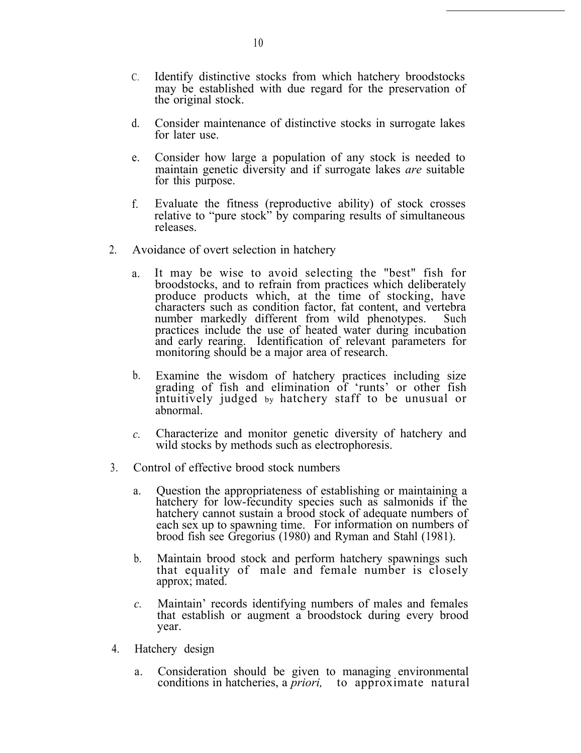- C. Identify distinctive stocks from which hatchery broodstocks may be established with due regard for the preservation of the original stock.
- d. Consider maintenance of distinctive stocks in surrogate lakes for later use.
- e. Consider how large a population of any stock is needed to maintain genetic diversity and if surrogate lakes *are* suitable for this purpose.
- f. Evaluate the fitness (reproductive ability) of stock crosses relative to "pure stock" by comparing results of simultaneous releases.
- 2. Avoidance of overt selection in hatchery
	- a. It may be wise to avoid selecting the "best" fish for broodstocks, and to refrain from practices which deliberately produce products which, at the time of stocking, have characters such as condition factor, fat content, and vertebra number markedly different from wild phenotypes. Such practices include the use of heated water during incubation and early rearing. Identification of relevant parameters for monitoring should be a major area of research.
	- b. Examine the wisdom of hatchery practices including size grading of fish and elimination of 'runts' or other fish intuitively judged by hatchery staff to be unusual or abnormal.
	- *c.* Characterize and monitor genetic diversity of hatchery and wild stocks by methods such as electrophoresis.
- 3. Control of effective brood stock numbers
	- a. Question the appropriateness of establishing or maintaining a hatchery for low-fecundity species such as salmonids if the hatchery cannot sustain a brood stock of adequate numbers of each sex up to spawning time. For information on numbers of brood fish see Gregorius (1980) and Ryman and Stahl (1981).
	- b. Maintain brood stock and perform hatchery spawnings such that equality of male and female number is closely approx; mated.
	- *c.* Maintain' records identifying numbers of males and females that establish or augment a broodstock during every brood year.
- 4. Hatchery design
	- a. Consideration should be given to managing environmental conditions in hatcheries, a *priori,* to approximate natural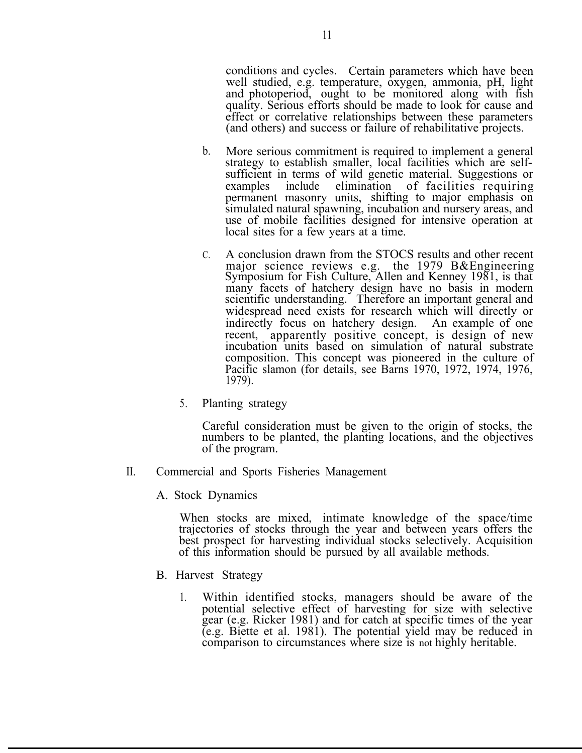conditions and cycles. Certain parameters which have been well studied, e.g. temperature, oxygen, ammonia, pH, light and photoperiod, ought to be monitored along with fish quality. Serious efforts should be made to look for cause and effect or correlative relationships between these parameters (and others) and success or failure of rehabilitative projects.

- b. More serious commitment is required to implement a general strategy to establish smaller, local facilities which are selfsufficient in terms of wild genetic material. Suggestions or examples include elimination of facilities requiring permanent masonry units, shifting to major emphasis on simulated natural spawning, incubation and nursery areas, and use of mobile facilities designed for intensive operation at local sites for a few years at  $\tilde{a}$  time.
- C. A conclusion drawn from the STOCS results and other recent major science reviews e.g. the 1979 B&Engineering Symposium for Fish Culture, Allen and Kenney 1981, is that many facets of hatchery design have no basis in modern scientific understanding. Therefore an important general and widespread need exists for research which will directly or indirectly focus on hatchery design. An example of one recent, apparently positive concept, is design of new incubation units based on simulation of natural substrate composition. This concept was pioneered in the culture of Pacific slamon (for details, see Barns 1970, 1972, 1974, 1976, 1979).
- 5. Planting strategy

Careful consideration must be given to the origin of stocks, the numbers to be planted, the planting locations, and the objectives of the program.

- II. Commercial and Sports Fisheries Management
	- A. Stock Dynamics

When stocks are mixed, intimate knowledge of the space/time trajectories of stocks through the year and between years offers the best prospect for harvesting individual stocks selectively. Acquisition of this information should be pursued by all available methods.

- B. Harvest Strategy
	- 1. Within identified stocks, managers should be aware of the potential selective effect of harvesting for size with selective gear (e.g. Ricker 1981) and for catch at specific times of the year (e.g. Biette et al. 1981). The potential yield may be reduced in comparison to circumstances where size is not highly heritable.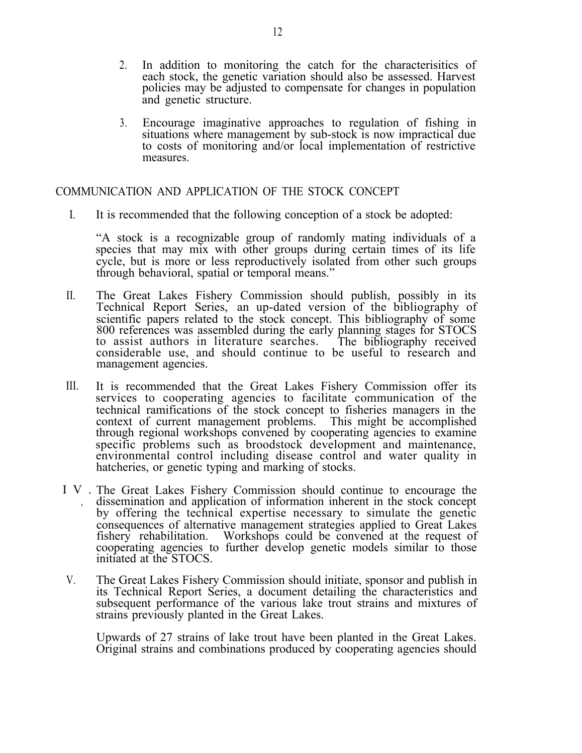- 2. In addition to monitoring the catch for the characterisitics of each stock, the genetic variation should also be assessed. Harvest policies may be adjusted to compensate for changes in population and genetic structure.
- 3. Encourage imaginative approaches to regulation of fishing in situations where management by sub-stock is now impractical due to costs of monitoring and/or local implementation of restrictive measures.

#### COMMUNICATION AND APPLICATION OF THE STOCK CONCEPT

I. It is recommended that the following conception of a stock be adopted:

"A stock is a recognizable group of randomly mating individuals of a species that may mix with other groups during certain times of its life cycle, but is more or less reproductively isolated from other such groups through behavioral, spatial or temporal means."

- II. The Great Lakes Fishery Commission should publish, possibly in its Technical Report Series, an up-dated version of the bibliography of scientific papers related to the stock concept. This bibliography of some 800 references was assembled during the early planning stages for STOCS to assist authors in literature searches. The bibliography received considerable use, and should continue to be useful to research and management agencies.
- III. It is recommended that the Great Lakes Fishery Commission offer its services to cooperating agencies to facilitate communication of the technical ramifications of the stock concept to fisheries managers in the context of current management problems. This might be accomplished through regional workshops convened by cooperating agencies to examine specific problems such as broodstock development and maintenance, environmental control including disease control and water quality in hatcheries, or genetic typing and marking of stocks.
- IV. The Great Lakes Fishery Commission should continue to encourage the dissemination and application of information inherent in the stock concept by offering the technical expertise necessary to simulate the genetic consequences of alternative management strategies applied to Great Lakes fishery rehabilitation. Workshops could be convened at the request of cooperating agencies to further develop genetic models similar to those initiated at the STOCS.
- V. The Great Lakes Fishery Commission should initiate, sponsor and publish in its Technical Report Series, a document detailing the characteristics and subsequent performance of the various lake trout strains and mixtures of strains previously planted in the Great Lakes.

Upwards of 27 strains of lake trout have been planted in the Great Lakes. Original strains and combinations produced by cooperating agencies should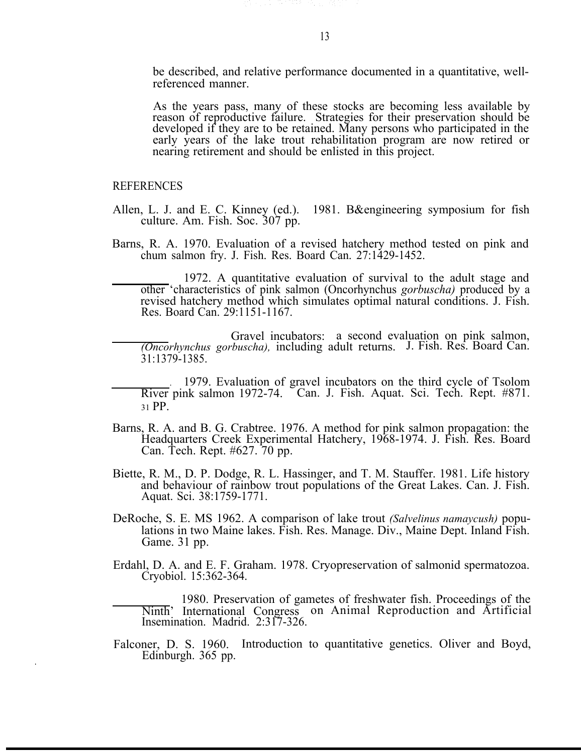be described, and relative performance documented in a quantitative, wellreferenced manner.

As the years pass, many of these stocks are becoming less available by reason of reproductive failure. Strategies for their preservation should be developed if they are to be retained. Many persons who participated in the early years of the lake trout rehabilitation program are now retired or nearing retirement and should be enlisted in this project.

#### REFERENCES

.

- Allen, L. J. and E. C. Kinney (ed.). 1981. B&engineering symposium for fish culture. Am. Fish. Soc. 307 pp.
- Barns, R. A. 1970. Evaluation of a revised hatchery method tested on pink and chum salmon fry. J. Fish. Res. Board Can. 27:1429-1452.

1972. A quantitative evaluation of survival to the adult stage and other 'characteristics of pink salmon (Oncorhynchus *gorbuscha)* produced by a revised hatchery method which simulates optimal natural conditions. J. Fish. Res. Board Can. 29:1151-1167.

Gravel incubators: a second evaluation on pink salmon, *(Oncorhynchus gorbuscha),* including adult returns. J. Fish. Res. Board Can. 31:1379-1385.

- . 1979. Evaluation of gravel incubators on the third cycle of Tsolom River pink salmon 1972-74. <sup>C</sup>an. J. Fish. Aquat. Sci. Tech. Rept. #871. <sup>31</sup>PP.
- Barns, R. A. and B. G. Crabtree. 1976. A method for pink salmon propagation: the Headquarters Creek Experimental Hatchery, 1968-1974. J. Fish. Res. Board Can. Tech. Rept. #627. 70 pp.
- Biette, R. M., D. P. Dodge, R. L. Hassinger, and T. M. Stauffer. 1981. Life history and behaviour of rainbow trout populations of the Great Lakes. Can. J. Fish. Aquat. Sci. 38:1759-1771.
- DeRoche, S. E. MS 1962. A comparison of lake trout *(Salvelinus namaycush)* populations in two Maine lakes. Fish. Res. Manage. Div., Maine Dept. Inland Fish. Game. 31 pp.
- Erdahl, D. A. and E. F. Graham. 1978. Cryopreservation of salmonid spermatozoa. Cryobiol. 15:362-364.

1980. Preservation of gametes of freshwater fish. Proceedings of the Ninth' International Congress on Animal Reproduction and Artificial Insemination. Madrid. 2:317-326.

Falconer, D. S. 1960. Introduction to quantitative genetics. Oliver and Boyd, Edinburgh. 365 pp.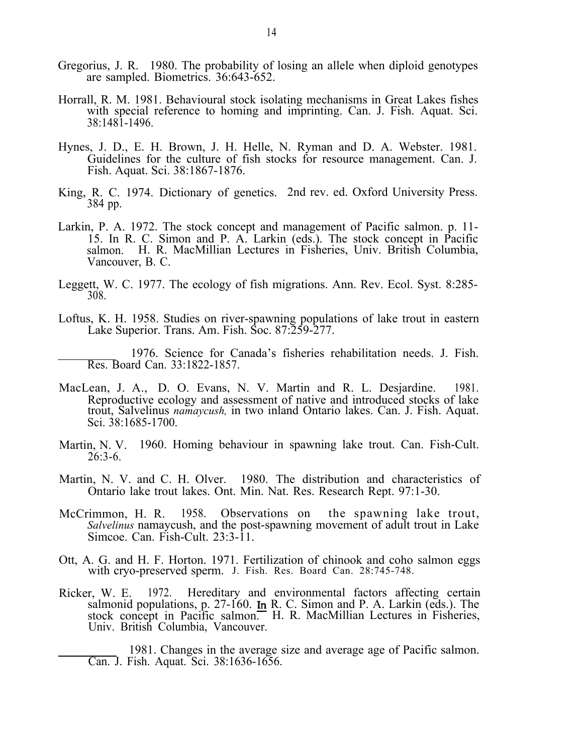- Gregorius, J. R. 1980. The probability of losing an allele when diploid genotypes are sampled. Biometrics. 36:643-652.
- Horrall, R. M. 1981. Behavioural stock isolating mechanisms in Great Lakes fishes with special reference to homing and imprinting. Can. J. Fish. Aquat. Sci. 38:1481-1496.
- Hynes, J. D., E. H. Brown, J. H. Helle, N. Ryman and D. A. Webster. 1981. Guidelines for the culture of fish stocks for resource management. Can. J. Fish. Aquat. Sci. 38:1867-1876.
- King, R. C. 1974. Dictionary of genetics. 2nd rev. ed. Oxford University Press. 384 pp.
- Larkin, P. A. 1972. The stock concept and management of Pacific salmon. p. 11- 15. In R. C. Simon and P. A. Larkin (eds.). The stock concept in Pacific salmon. H. R. MacMillian Lectures in Fisheries, Univ. British Columbia, Vancouver, B. C.
- Leggett, W. C. 1977. The ecology of fish migrations. Ann. Rev. Ecol. Syst. 8:285- 308.
- Loftus, K. H. 1958. Studies on river-spawning populations of lake trout in eastern Lake Superior. Trans. Am. Fish. Soc. 87:259-277.

1976. Science for Canada's fisheries rehabilitation needs. J. Fish. Res. Board Can. 33:1822-1857.

- MacLean, J. A., D. O. Evans, N. V. Martin and R. L. Desjardine. 1981. Reproductive ecology and assessment of native and introduced stocks of lake trout, Salvelinus *namaycush,* in two inland Ontario lakes. Can. J. Fish. Aquat. Sci. 38:1685-1700.
- Martin, N. V. 1960. Homing behaviour in spawning lake trout. Can. Fish-Cult. 26:3-6.
- Martin, N. V. and C. H. Olver. 1980. The distribution and characteristics of Ontario lake trout lakes. Ont. Min. Nat. Res. Research Rept. 97:1-30.
- McCrimmon, H. R. 1958. Observations on the spawning lake trout, *Salvelinus* namaycush, and the post-spawning movement of adult trout in Lake Simcoe. Can. Fish-Cult. 23:3-11.
- Ott, A. G. and H. F. Horton. 1971. Fertilization of chinook and coho salmon eggs with cryo-preserved sperm. J. Fish. Res. Board Can. 28:745-748.
- Ricker, W. E. 1972. Hereditary and environmental factors affecting certain salmonid populations, p.  $27-160$ . In R. C. Simon and P. A. Larkin (eds.). The stock concept in Pacific salmon. H. R. MacMillian Lectures in Fisheries, Univ. British Columbia, Vancouver.

1981. Changes in the average size and average age of Pacific salmon. Can. J. Fish. Aquat. Sci. 38:1636-1656.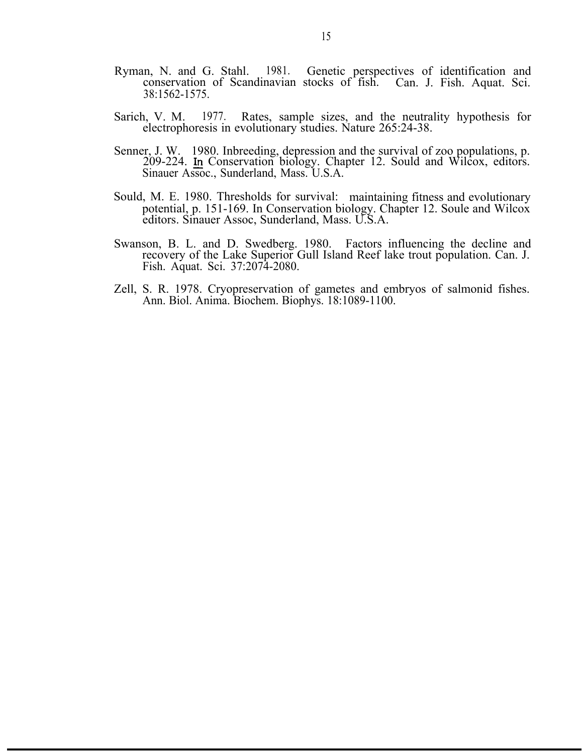- Ryman, N. and G. Stahl. 1981. Genetic perspectives of identification and conservation of Scandinavian stocks of fish. Can. J. Fish. Aquat. Sci. 38:1562-1575.
- Sarich, V. M. 1977. Rates, sample sizes, and the neutrality hypothesis for electrophoresis in evolutionary studies. Nature 265:24-38.
- Senner, J. W. 1980. Inbreeding, depression and the survival of zoo populations, p. 209-224. In Conservation biology. Chapter 12. Sould and Wilcox, editors. Sinauer Assoc., Sunderland, Mass. U.S.A.
- Sould, M. E. 1980. Thresholds for survival: maintaining fitness and evolutionary potential, p. 151-169. In Conservation biology. Chapter 12. Soule and Wilcox editors. Sinauer Assoc, Sunderland, Mass. U.S.A.
- Swanson, B. L. and D. Swedberg. 1980. Factors influencing the decline and recovery of the Lake Superior Gull Island Reef lake trout population. Can. J. Fish. Aquat. Sci. 37:2074-2080.
- Zell, S. R. 1978. Cryopreservation of gametes and embryos of salmonid fishes. Ann. Biol. Anima. Biochem. Biophys. 18:1089-1100.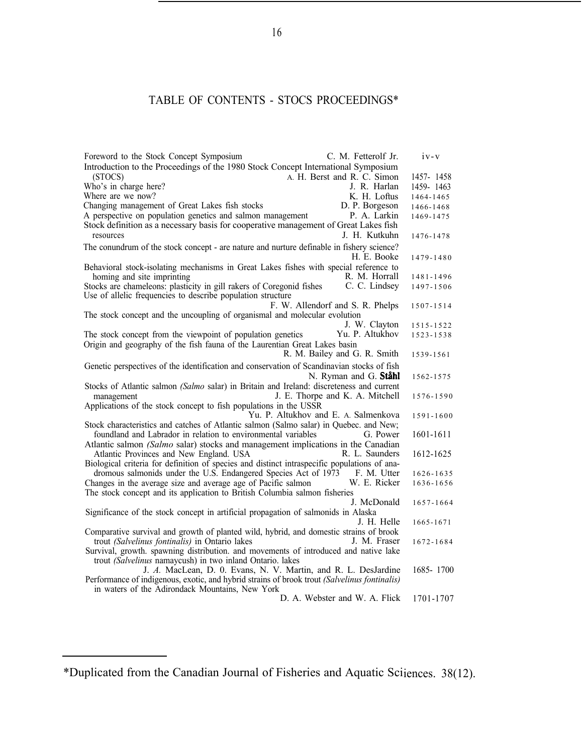#### TABLE OF CONTENTS - STOCS PROCEEDINGS\*

| Foreword to the Stock Concept Symposium                                                                                     |                                      | C. M. Fetterolf Jr.   | $1V - V$  |
|-----------------------------------------------------------------------------------------------------------------------------|--------------------------------------|-----------------------|-----------|
| Introduction to the Proceedings of the 1980 Stock Concept International Symposium                                           |                                      |                       |           |
| (STOCS)                                                                                                                     | A. H. Berst and R. C. Simon          |                       | 1457-1458 |
| Who's in charge here?                                                                                                       |                                      | J. R. Harlan          | 1459-1463 |
| Where are we now?                                                                                                           |                                      | K. H. Loftus          | 1464-1465 |
| Changing management of Great Lakes fish stocks                                                                              |                                      | D. P. Borgeson        | 1466-1468 |
| A perspective on population genetics and salmon management                                                                  |                                      | P. A. Larkin          | 1469-1475 |
| Stock definition as a necessary basis for cooperative management of Great Lakes fish                                        |                                      |                       |           |
| resources                                                                                                                   |                                      | J. H. Kutkuhn         | 1476-1478 |
| The conundrum of the stock concept - are nature and nurture definable in fishery science?                                   |                                      |                       |           |
|                                                                                                                             |                                      | H. E. Booke           | 1479-1480 |
| Behavioral stock-isolating mechanisms in Great Lakes fishes with special reference to                                       |                                      |                       |           |
| homing and site imprinting                                                                                                  |                                      | R. M. Horrall         | 1481-1496 |
| Stocks are chameleons: plasticity in gill rakers of Coregonid fishes                                                        |                                      | C. C. Lindsey         | 1497-1506 |
| Use of allelic frequencies to describe population structure                                                                 |                                      |                       |           |
|                                                                                                                             | F. W. Allendorf and S. R. Phelps     |                       | 1507-1514 |
| The stock concept and the uncoupling of organismal and molecular evolution                                                  |                                      |                       |           |
|                                                                                                                             |                                      | J. W. Clayton         | 1515-1522 |
| The stock concept from the viewpoint of population genetics                                                                 |                                      | Yu. P. Altukhov       | 1523-1538 |
| Origin and geography of the fish fauna of the Laurentian Great Lakes basin                                                  |                                      |                       |           |
|                                                                                                                             | R. M. Bailey and G. R. Smith         |                       | 1539-1561 |
| Genetic perspectives of the identification and conservation of Scandinavian stocks of fish                                  |                                      |                       |           |
|                                                                                                                             |                                      | N. Ryman and G. Ståhl | 1562-1575 |
| Stocks of Atlantic salmon (Salmo salar) in Britain and Ireland: discreteness and current                                    |                                      |                       |           |
| management                                                                                                                  | J. E. Thorpe and K. A. Mitchell      |                       | 1576-1590 |
| Applications of the stock concept to fish populations in the USSR                                                           |                                      |                       |           |
|                                                                                                                             | Yu. P. Altukhov and E. A. Salmenkova |                       | 1591-1600 |
| Stock characteristics and catches of Atlantic salmon (Salmo salar) in Quebec. and New;                                      |                                      |                       |           |
| foundland and Labrador in relation to environmental variables                                                               |                                      | G. Power              | 1601-1611 |
| Atlantic salmon (Salmo salar) stocks and management implications in the Canadian                                            |                                      |                       |           |
| Atlantic Provinces and New England. USA                                                                                     |                                      | R. L. Saunders        | 1612-1625 |
| Biological criteria for definition of species and distinct intraspecific populations of ana-                                |                                      |                       |           |
| dromous salmonids under the U.S. Endangered Species Act of 1973 F. M. Utter                                                 |                                      |                       | 1626-1635 |
| Changes in the average size and average age of Pacific salmon                                                               |                                      | W. E. Ricker          | 1636-1656 |
| The stock concept and its application to British Columbia salmon fisheries                                                  |                                      |                       |           |
|                                                                                                                             |                                      | J. McDonald           | 1657-1664 |
| Significance of the stock concept in artificial propagation of salmonids in Alaska                                          |                                      |                       |           |
|                                                                                                                             |                                      | J. H. Helle           | 1665-1671 |
| Comparative survival and growth of planted wild, hybrid, and domestic strains of brook                                      |                                      |                       |           |
| trout (Salvelinus fontinalis) in Ontario lakes                                                                              |                                      | J. M. Fraser          | 1672-1684 |
| Survival, growth. spawning distribution. and movements of introduced and native lake                                        |                                      |                       |           |
| trout (Salvelinus namaycush) in two inland Ontario. lakes<br>J. A. MacLean, D. 0. Evans, N. V. Martin, and R. L. DesJardine |                                      |                       | 1685-1700 |
| Performance of indigenous, exotic, and hybrid strains of brook trout (Salvelinus fontinalis)                                |                                      |                       |           |
| in waters of the Adirondack Mountains, New York                                                                             |                                      |                       |           |
|                                                                                                                             | D. A. Webster and W. A. Flick        |                       | 1701-1707 |
|                                                                                                                             |                                      |                       |           |

<sup>\*</sup>Duplicated from the Canadian Journal of Fisheries and Aquatic Sciiences. 38(12).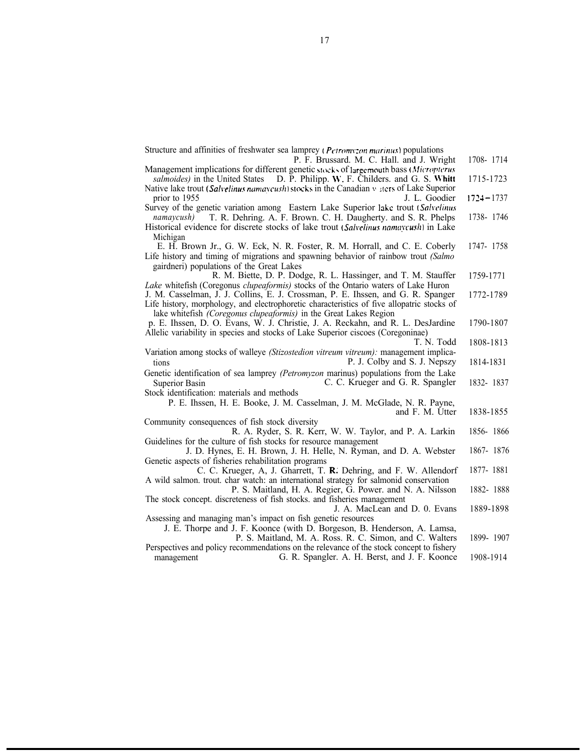Structure and affinities of freshwater sea lamprey ( $P_{CITOMV2}$  *ratinus*) populations P. F. Brussard. M. C. Hall. and J. Wright Management implications for different genetic stocks of largemouth bass (Micropterus *salmoides*) in the United States D. P. Philipp. W. F. Childers. and G. S. Whitt Native lake trout (Salvelinus namaycush) stocks in the Canadian v sters of Lake Superior prior to 1955 J. L. Goodier Survey of the genetic variation among Eastern Lake Superior lake trout (Salvelinus *namaycush)* T. R. Dehring. A. F. Brown. C. H. Daugherty. and S. R. Phelps Historical evidence for discrete stocks of lake trout (Salvelinus namaycush) in Lake Michigan E. H. Brown Jr., G. W. Eck, N. R. Foster, R. M. Horrall, and C. E. Coberly Life history and timing of migrations and spawning behavior of rainbow trout *(Salmo* gairdneri) populations of the Great Lakes R. M. Biette, D. P. Dodge, R. L. Hassinger, and T. M. Stauffer *Lake* whitefish (Coregonus *clupeaformis)* stocks of the Ontario waters of Lake Huron J. M. Casselman, J. J. Collins, E. J. Crossman, P. E. Ihssen, and G. R. Spanger Life history, morphology, and electrophoretic characteristics of five allopatric stocks of lake whitefish *(Coregonus clupeaformis)* in the Great Lakes Region p. E. Ihssen, D. O. Evans, W. J. Christie, J. A. Reckahn, and R. L. DesJardine Allelic variability in species and stocks of Lake Superior ciscoes (Coregoninae) T. N. Todd Variation among stocks of walleye *(Stizostedion vitreum vitreum):* management implications P. J. Colby and S. J. Nepszy Genetic identification of sea lamprey *(Petromyzon* marinus) populations from the Lake Superior Basin C. C. Krueger and G. R. Spangler Stock identification: materials and methods P. E. Ihssen, H. E. Booke, J. M. Casselman, J. M. McGlade, N. R. Payne, and F. M. Utter 1790-1807 1808-1813 1814-1831 1832- 1837 Community consequences of fish stock diversity R. A. Ryder, S. R. Kerr, W. W. Taylor, and P. A. Larkin Guidelines for the culture of fish stocks for resource management J. D. Hynes, E. H. Brown, J. H. Helle, N. Ryman, and D. A. Webster Genetic aspects of fisheries rehabilitation programs C. C. Krueger, A, J. Gharrett, T. R; Dehring, and F. W. Allendorf A wild salmon. trout. char watch: an international strategy for salmonid conservation P. S. Maitland, H. A. Regier, G. Power. and N. A. Nilsson The stock concept. discreteness of fish stocks. and fisheries management J. A. MacLean and D. 0. Evans 1838-1855 1856- 1866 1867- 1876 1877- 1881 1882- 1888 1889-1898 Assessing and managing man's impact on fish genetic resources J. E. Thorpe and J. F. Koonce (with D. Borgeson, B. Henderson, A. Lamsa, P. S. Maitland, M. A. Ross. R. C. Simon, and C. Walters Perspectives and policy recommendations on the relevance of the stock concept to fishery management G. R. Spangler. A. H. Berst, and J. F. Koonce 1899- 1907 1908-1914 1708- 1714 1715-1723  $1724 - 1737$ 1738- 1746 1747- 1758 1759-1771 1772-1789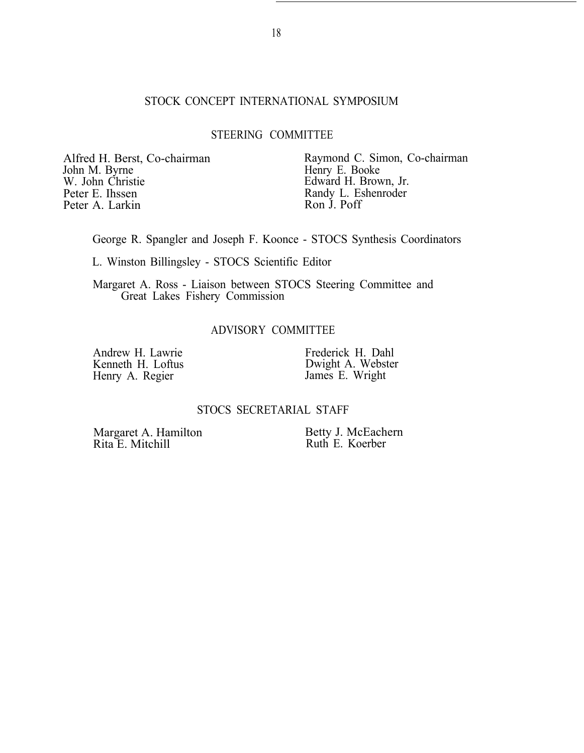#### STOCK CONCEPT INTERNATIONAL SYMPOSIUM

#### STEERING COMMITTEE

John M. Byrne Henry E. Booke<br>W. John Christie Henry E. Booke<br>Edward H. Brow W. John Christie Edward H. Brown, Jr.<br>
Peter E. Ihssen Randy L. Eshenroder Peter A. Larkin

Alfred H. Berst, Co-chairman Raymond C. Simon, Co-chairman John M. Byrne<br>
Henry E. Booke Randy L. Eshenroder<br>Ron J. Poff

George R. Spangler and Joseph F. Koonce - STOCS Synthesis Coordinators

L. Winston Billingsley - STOCS Scientific Editor

Margaret A. Ross - Liaison between STOCS Steering Committee and Great Lakes Fishery Commission

#### ADVISORY COMMITTEE

Andrew H. Lawrie Kenneth H. Loftus Henry A. Regier

Frederick H. Dahl Dwight A. Webster James E. Wright

#### STOCS SECRETARIAL STAFF

Margaret A. Hamilton Rita E. Mitchill

Betty J. McEachern Ruth E. Koerber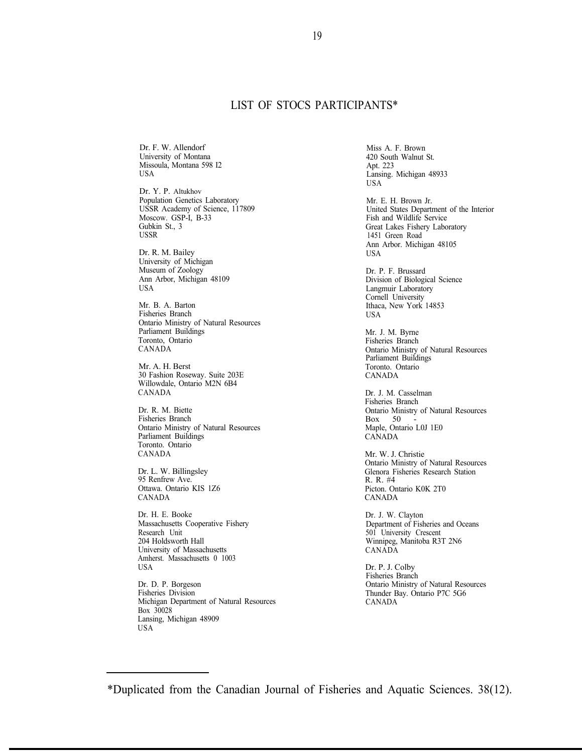#### LIST OF STOCS PARTICIPANTS\*

Dr. F. W. Allendorf University of Montana Missoula, Montana 598 I2 USA

Dr. Y. P. Altukhov Population Genetics Laboratory USSR Academy of Science, 117809 Moscow. GSP-I, B-33 Gubkin St., 3 USSR

Dr. R. M. Bailey University of Michigan Museum of Zoology Ann Arbor, Michigan 48109 USA

Mr. B. A. Barton Fisheries Branch Ontario Ministry of Natural Resources Parliament Buildings Toronto, Ontario CANADA

Mr. A. H. Berst 30 Fashion Roseway. Suite 203E Willowdale, Ontario M2N 6B4 CANADA

Dr. R. M. Biette Fisheries Branch Ontario Ministry of Natural Resources Parliament Buildings Toronto. Ontario CANADA

Dr. L. W. Billingsley 95 Renfrew Ave. Ottawa. Ontario KIS 1Z6 CANADA

Dr. H. E. Booke Massachusetts Cooperative Fishery Research Unit 204 Holdsworth Hall University of Massachusetts Amherst. Massachusetts 0 1003 USA

Dr. D. P. Borgeson Fisheries Division Michigan Department of Natural Resources Box 30028 Lansing, Michigan 48909 USA

Miss A. F. Brown 420 South Walnut St. Apt. 223 Lansing. Michigan 48933 USA

Mr. E. H. Brown Jr. United States Department of the Interior Fish and Wildlife Service Great Lakes Fishery Laboratory 1451 Green Road Ann Arbor. Michigan 48105

Dr. P. F. Brussard Division of Biological Science Langmuir Laboratory Cornell University Ithaca, New York 14853 **USA** 

Mr. J. M. Byrne Fisheries Branch Ontario Ministry of Natural Resources Parliament Buildings Toronto. Ontario CANADA

Dr. J. M. Casselman Fisheries Branch Ontario Ministry of Natural Resources  $Box 50$ Maple, Ontario L0J 1E0 CANADA

Mr. W. J. Christie Ontario Ministry of Natural Resources Glenora Fisheries Research Station R. R. #4 Picton. Ontario K0K 2T0 CANADA

Dr. J. W. Clayton Department of Fisheries and Oceans 501 University Crescent Winnipeg, Manitoba R3T 2N6 CANADA

Dr. P. J. Colby Fisheries Branch Ontario Ministry of Natural Resources Thunder Bay. Ontario P7C 5G6 CANADA

<sup>\*</sup>Duplicated from the Canadian Journal of Fisheries and Aquatic Sciences. 38(12).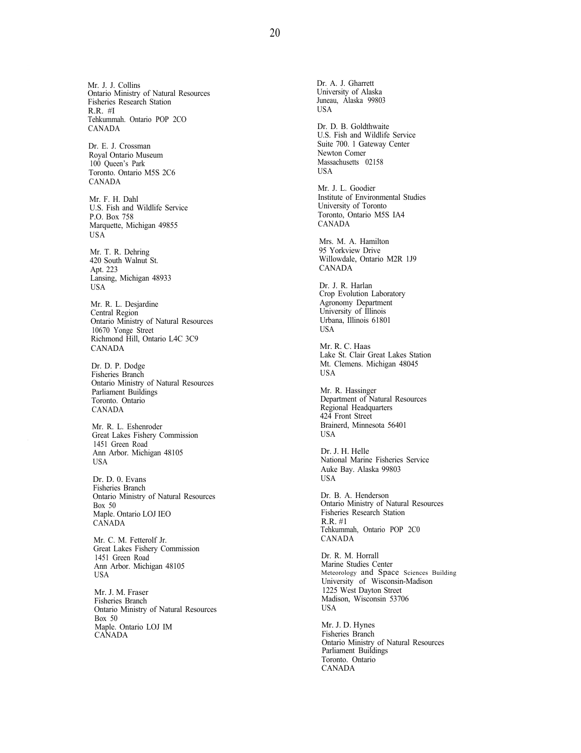20

Mr. J. J. Collins Ontario Ministry of Natural Resources Fisheries Research Station R.R. #I Tehkummah. Ontario POP 2CO CANADA

Dr. E. J. Crossman Royal Ontario Museum 100 Queen's Park Toronto. Ontario M5S 2C6 CANADA

Mr. F. H. Dahl U.S. Fish and Wildlife Service P.O. Box 758 Marquette, Michigan 49855 USA

Mr. T. R. Dehring 420 South Walnut St. Apt. 223 Lansing, Michigan 48933 USA

Mr. R. L. Desjardine Central Region Ontario Ministry of Natural Resources 10670 Yonge Street Richmond Hill, Ontario L4C 3C9 CANADA

Dr. D. P. Dodge Fisheries Branch Ontario Ministry of Natural Resources Parliament Buildings Toronto. Ontario CANADA

Mr. R. L. Eshenroder Great Lakes Fishery Commission 1451 Green Road Ann Arbor. Michigan 48105 USA

Dr. D. 0. Evans Fisheries Branch Ontario Ministry of Natural Resources Box 50 Maple. Ontario LOJ IEO CANADA

Mr. C. M. Fetterolf Jr. Great Lakes Fishery Commission 1451 Green Road Ann Arbor. Michigan 48105 USA

Mr. J. M. Fraser Fisheries Branch Ontario Ministry of Natural Resources Box 50 Maple. Ontario LOJ IM CANADA

Dr. A. J. Gharrett University of Alaska Juneau, Alaska 99803 USA Dr. D. B. Goldthwaite U.S. Fish and Wildlife Service Suite 700. 1 Gateway Center Newton Comer Massachusetts 02158 USA Mr. J. L. Goodier Institute of Environmental Studies University of Toronto Toronto, Ontario M5S IA4 CANADA Mrs. M. A. Hamilton 95 Yorkview Drive Willowdale, Ontario M2R 1J9 CANADA Dr. J. R. Harlan Crop Evolution Laboratory Agronomy Department University of Illinois Urbana, Illinois 61801 USA Mr. R. C. Haas Lake St. Clair Great Lakes Station Mt. Clemens. Michigan 48045 USA Mr. R. Hassinger Department of Natural Resources Regional Headquarters 424 Front Street Brainerd, Minnesota 56401 USA Dr. J. H. Helle National Marine Fisheries Service Auke Bay. Alaska 99803 USA Dr. B. A. Henderson Ontario Ministry of Natural Resources Fisheries Research Station R.R. #1 Tehkummah, Ontario POP 2C0 CANADA Dr. R. M. Horrall Marine Studies Center Meteorology and Space Sciences Building University of Wisconsin-Madison 1225 West Dayton Street Madison, Wisconsin 53706 USA Mr. J. D. Hynes Fisheries Branch

Ontario Ministry of Natural Resources Parliament Buildings Toronto. Ontario CANADA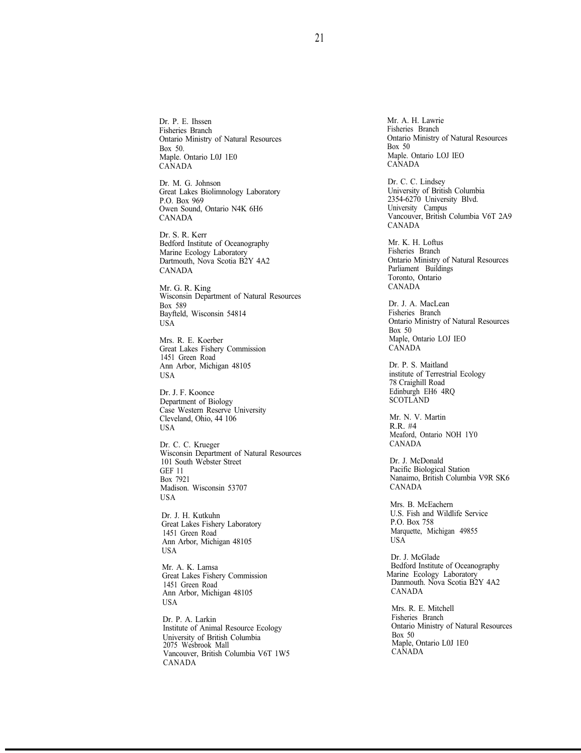Dr. P. E. Ihssen Fisheries Branch Ontario Ministry of Natural Resources Box 50. Maple. Ontario L0J 1E0 CANADA

Dr. M. G. Johnson Great Lakes Biolimnology Laboratory P.O. Box 969 Owen Sound, Ontario N4K 6H6 CANADA

Dr. S. R. Kerr Bedford Institute of Oceanography Marine Ecology Laboratory Dartmouth, Nova Scotia B2Y 4A2 CANADA

Mr. G. R. King Wisconsin Department of Natural Resources Box 589 Bayfteld, Wisconsin 54814 USA

Mrs. R. E. Koerber Great Lakes Fishery Commission 1451 Green Road Ann Arbor, Michigan 48105 USA

Dr. J. F. Koonce Department of Biology Case Western Reserve University Cleveland, Ohio, 44 106 USA

Dr. C. C. Krueger Wisconsin Department of Natural Resources 101 South Webster Street GEF 11 Box 7921 Madison. Wisconsin 53707 USA

Dr. J. H. Kutkuhn Great Lakes Fishery Laboratory 1451 Green Road Ann Arbor, Michigan 48105 USA

Mr. A. K. Lamsa Great Lakes Fishery Commission 1451 Green Road Ann Arbor, Michigan 48105 USA

Dr. P. A. Larkin Institute of Animal Resource Ecology University of British Columbia 2075 Wesbrook Mall Vancouver, British Columbia V6T 1W5 CANADA

Mr. A. H. Lawrie Fisheries Branch Ontario Ministry of Natural Resources Box 50 Maple. Ontario LOJ IEO CANADA

Dr. C. C. Lindsey University of British Columbia 2354-6270 University Blvd. University Campus Vancouver, British Columbia V6T 2A9 CANADA

Mr. K. H. Loftus Fisheries Branch Ontario Ministry of Natural Resources Parliament Buildings Toronto, Ontario CANADA

Dr. J. A. MacLean Fisheries Branch Ontario Ministry of Natural Resources Box 50 Maple, Ontario LOJ IEO CANADA

Dr. P. S. Maitland institute of Terrestrial Ecology 78 Craighill Road Edinburgh EH6 4RQ SCOTLAND

Mr. N. V. Martin R.R. #4 Meaford, Ontario NOH 1Y0 CANADA

Dr. J. McDonald Pacific Biological Station Nanaimo, British Columbia V9R SK6 CANADA

Mrs. B. McEachern U.S. Fish and Wildlife Service P.O. Box 758 Marquette, Michigan 49855 USA

Dr. J. McGlade Bedford Institute of Oceanography Marine Ecology Laboratory Danmouth. Nova Scotia B2Y 4A2 CANADA

Mrs. R. E. Mitchell Fisheries Branch Ontario Ministry of Natural Resources Box 50 Maple, Ontario L0J 1E0 CANADA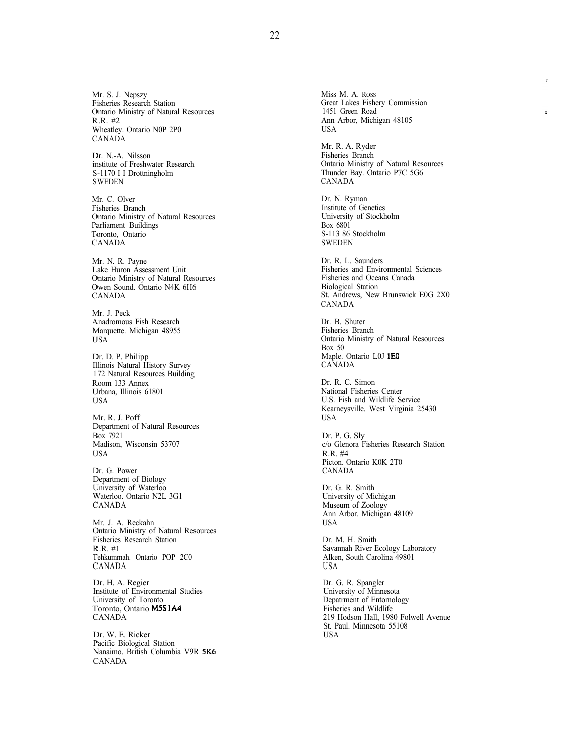Mr. S. J. Nepszy Fisheries Research Station Ontario Ministry of Natural Resources R.R. #2 Wheatley. Ontario N0P 2P0 CANADA

Dr. N.-A. Nilsson institute of Freshwater Research S-1170 I I Drottningholm SWEDEN

Mr. C. Olver Fisheries Branch Ontario Ministry of Natural Resources Parliament Buildings Toronto, Ontario CANADA

Mr. N. R. Payne Lake Huron Assessment Unit Ontario Ministry of Natural Resources Owen Sound. Ontario N4K 6H6 CANADA

Mr. J. Peck Anadromous Fish Research Marquette. Michigan 48955 USA

Dr. D. P. Philipp Illinois Natural History Survey 172 Natural Resources Building Room 133 Annex Urbana, Illinois 61801 USA

Mr. R. J. Poff Department of Natural Resources Box 7921 Madison, Wisconsin 53707 USA

Dr. G. Power Department of Biology University of Waterloo Waterloo. Ontario N2L 3G1 CANADA

Mr. J. A. Reckahn Ontario Ministry of Natural Resources Fisheries Research Station R.R. #1 Tehkummah. Ontario POP 2C0 CANADA

Dr. H. A. Regier Institute of Environmental Studies University of Toronto Toronto, Ontario MSS IA4 CANADA

Dr. W. E. Ricker Pacific Biological Station Nanaimo. British Columbia V9R SK6 CANADA

Miss M. A. ROSS Great Lakes Fishery Commission 1451 Green Road Ann Arbor, Michigan 48105 USA

 $\overline{z}$ 

Mr. R. A. Ryder Fisheries Branch Ontario Ministry of Natural Resources Thunder Bay. Ontario P7C 5G6 CANADA

Dr. N. Ryman Institute of Genetics University of Stockholm Box 6801 S-113 86 Stockholm SWEDEN

Dr. R. L. Saunders Fisheries and Environmental Sciences Fisheries and Oceans Canada Biological Station St. Andrews, New Brunswick E0G 2X0 CANADA

Dr. B. Shuter Fisheries Branch Ontario Ministry of Natural Resources Box 50 Maple. Ontario L0J IEO **CANADA** 

Dr. R. C. Simon National Fisheries Center U.S. Fish and Wildlife Service Kearneysville. West Virginia 25430 USA

Dr. P. G. Sly c/o Glenora Fisheries Research Station R.R. #4 Picton. Ontario K0K 2T0 CANADA

Dr. G. R. Smith University of Michigan Museum of Zoology Ann Arbor. Michigan 48109 USA

Dr. M. H. Smith Savannah River Ecology Laboratory Alken, South Carolina 49801 USA

Dr. G. R. Spangler University of Minnesota Depatrment of Entomology Fisheries and Wildlife 219 Hodson Hall, 1980 Folwell Avenue St. Paul. Minnesota 55108 USA